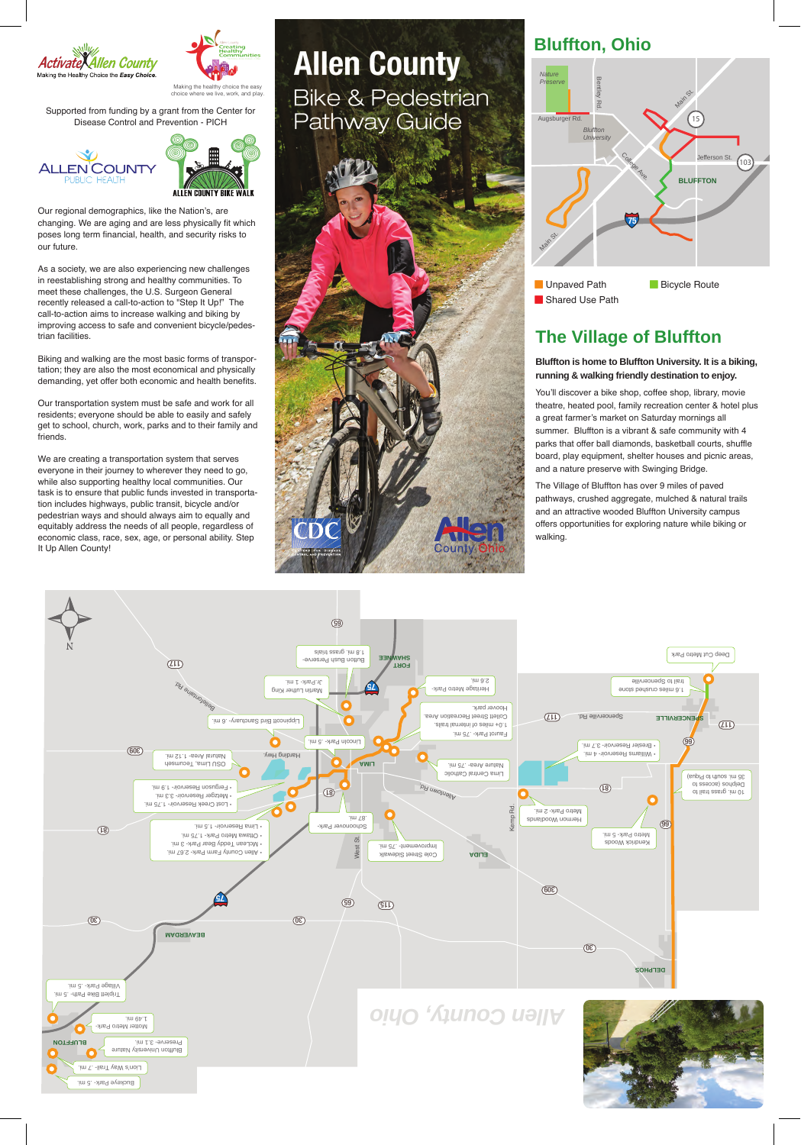



Making the healthy choice the easy choice where we live, work, and play.

Supported from funding by a grant from the Center for Disease Control and Prevention - PICH





Our regional demographics, like the Nation's, are changing. We are aging and are less physically fit which poses long term financial, health, and security risks to our future.

As a society, we are also experiencing new challenges in reestablishing strong and healthy communities. To meet these challenges, the U.S. Surgeon General recently released a call-to-action to "Step It Up!" The call-to-action aims to increase walking and biking by improving access to safe and convenient bicycle/pedestrian facilities.

Biking and walking are the most basic forms of transportation; they are also the most economical and physically demanding, yet offer both economic and health benefits.

Our transportation system must be safe and work for all residents; everyone should be able to easily and safely get to school, church, work, parks and to their family and friends.

We are creating a transportation system that serves everyone in their journey to wherever they need to go, while also supporting healthy local communities. Our task is to ensure that public funds invested in transportation includes highways, public transit, bicycle and/or pedestrian ways and should always aim to equally and equitably address the needs of all people, regardless of economic class, race, sex, age, or personal ability. Step It Up Allen County!

**Allen County Bike & Pedestrian Pathway Guide** 

Coun

# **Bluffton, Ohio**



**Shared Use Path** 

# **The Village of Bluffton**

### **Bluffton is home to Bluffton University. It is a biking, running & walking friendly destination to enjoy.**

You'll discover a bike shop, coffee shop, library, movie theatre, heated pool, family recreation center & hotel plus a great farmer's market on Saturday mornings all summer. Bluffton is a vibrant & safe community with 4 parks that offer ball diamonds, basketball courts, shuffle board, play equipment, shelter houses and picnic areas, and a nature preserve with Swinging Bridge.

The Village of Bluffton has over 9 miles of paved pathways, crushed aggregate, mulched & natural trails and an attractive wooded Bluffton University campus offers opportunities for exploring nature while biking or walking.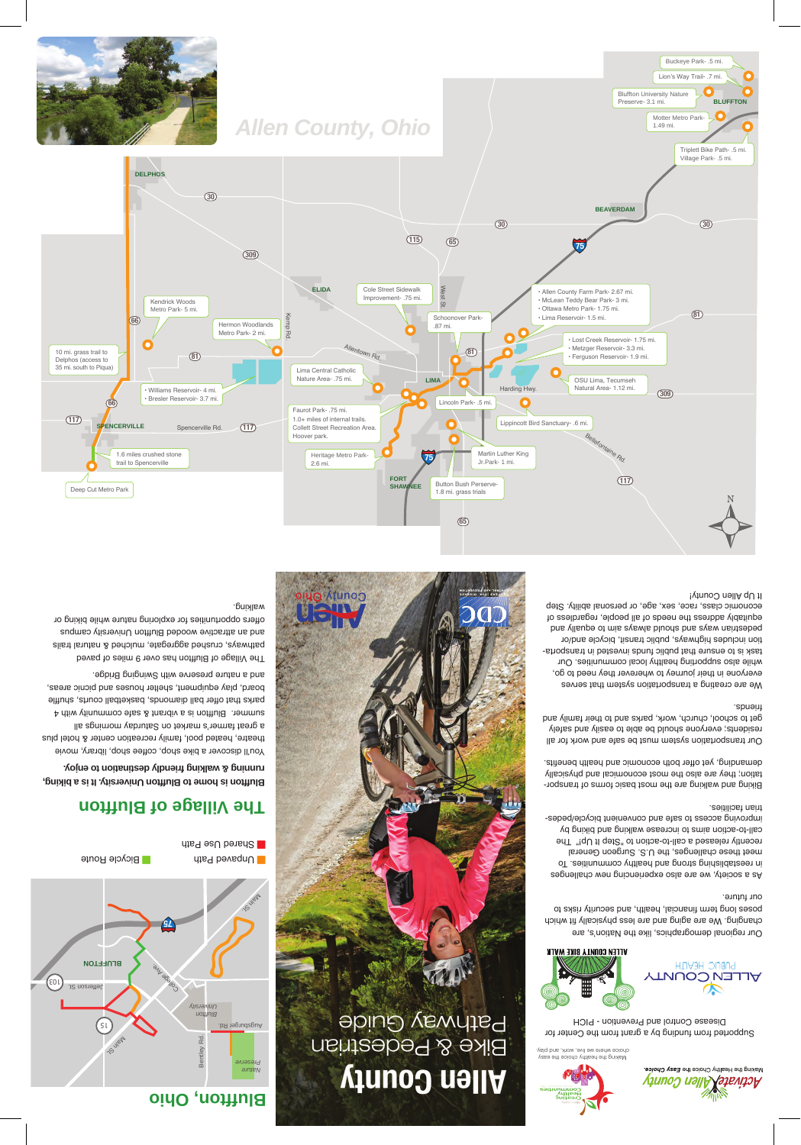